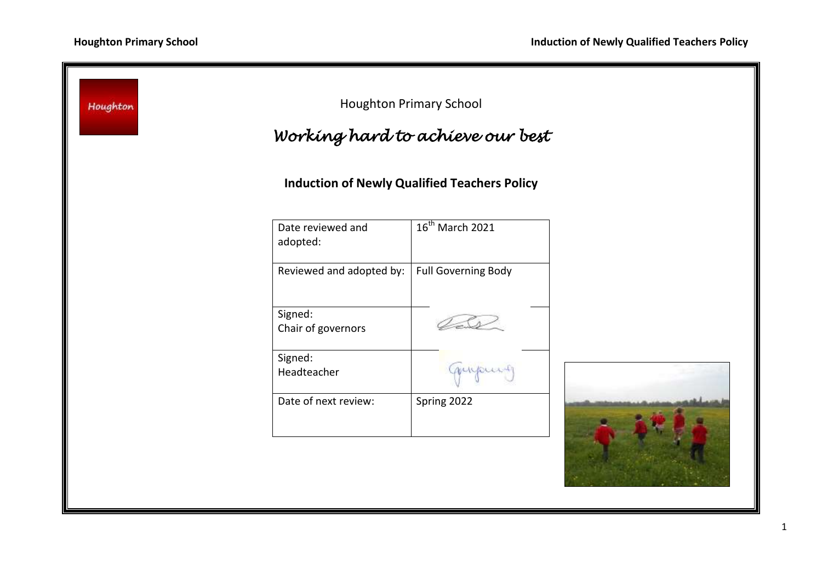| <b>Houghton Primary School</b><br>Houghton<br>Working hard to achieve our best |                               |                             |  |
|--------------------------------------------------------------------------------|-------------------------------|-----------------------------|--|
| <b>Induction of Newly Qualified Teachers Policy</b>                            |                               |                             |  |
|                                                                                | Date reviewed and<br>adopted: | 16 <sup>th</sup> March 2021 |  |
|                                                                                | Reviewed and adopted by:      | <b>Full Governing Body</b>  |  |
|                                                                                | Signed:<br>Chair of governors |                             |  |
|                                                                                | Signed:<br>Headteacher        | mupus                       |  |
|                                                                                | Date of next review:          | Spring 2022                 |  |
|                                                                                |                               |                             |  |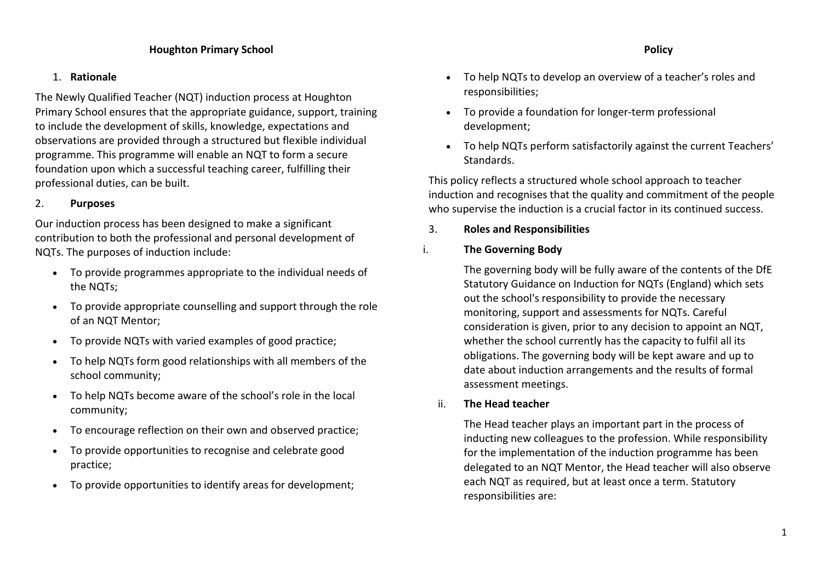# 1. **Rationale**

The Newly Qualified Teacher (NQT) induction process at Houghton Primary School ensures that the appropriate guidance, support, training to include the development of skills, knowledge, expectations and observations are provided through a structured but flexible individual programme. This programme will enable an NQT to form a secure foundation upon which a successful teaching career, fulfilling their professional duties, can be built.

# 2. **Purposes**

Our induction process has been designed to make a significant contribution to both the professional and personal development of NQTs. The purposes of induction include:

- To provide programmes appropriate to the individual needs of the NQTs;
- To provide appropriate counselling and support through the role of an NQT Mentor;
- To provide NQTs with varied examples of good practice;
- To help NQTs form good relationships with all members of the school community;
- To help NQTs become aware of the school's role in the local community;
- To encourage reflection on their own and observed practice;
- To provide opportunities to recognise and celebrate good practice;
- To provide opportunities to identify areas for development;
- To help NQTs to develop an overview of a teacher's roles and responsibilities;
- To provide a foundation for longer-term professional development;
- To help NQTs perform satisfactorily against the current Teachers' Standards.

This policy reflects a structured whole school approach to teacher induction and recognises that the quality and commitment of the people who supervise the induction is a crucial factor in its continued success.

3. **Roles and Responsibilities**

# i. **The Governing Body**

The governing body will be fully aware of the contents of the DfE Statutory Guidance on Induction for NQTs (England) which sets out the school's responsibility to provide the necessary monitoring, support and assessments for NQTs. Careful consideration is given, prior to any decision to appoint an NQT, whether the school currently has the capacity to fulfil all its obligations. The governing body will be kept aware and up to date about induction arrangements and the results of formal assessment meetings.

# ii. **The Head teacher**

The Head teacher plays an important part in the process of inducting new colleagues to the profession. While responsibility for the implementation of the induction programme has been delegated to an NQT Mentor, the Head teacher will also observe each NQT as required, but at least once a term. Statutory responsibilities are: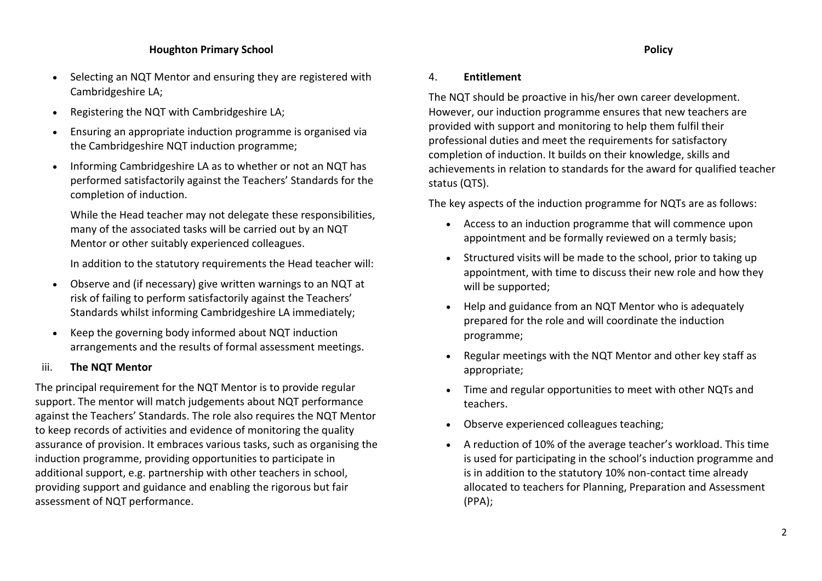### **Houghton Primary School Policy**

- Selecting an NQT Mentor and ensuring they are registered with Cambridgeshire LA;
- Registering the NQT with Cambridgeshire LA;
- Ensuring an appropriate induction programme is organised via the Cambridgeshire NQT induction programme;
- Informing Cambridgeshire LA as to whether or not an NQT has performed satisfactorily against the Teachers' Standards for the completion of induction.

While the Head teacher may not delegate these responsibilities, many of the associated tasks will be carried out by an NQT Mentor or other suitably experienced colleagues.

In addition to the statutory requirements the Head teacher will:

- Observe and (if necessary) give written warnings to an NQT at risk of failing to perform satisfactorily against the Teachers' Standards whilst informing Cambridgeshire LA immediately;
- Keep the governing body informed about NQT induction arrangements and the results of formal assessment meetings.

### iii. **The NQT Mentor**

The principal requirement for the NQT Mentor is to provide regular support. The mentor will match judgements about NQT performance against the Teachers' Standards. The role also requires the NQT Mentor to keep records of activities and evidence of monitoring the quality assurance of provision. It embraces various tasks, such as organising the induction programme, providing opportunities to participate in additional support, e.g. partnership with other teachers in school, providing support and guidance and enabling the rigorous but fair assessment of NQT performance.

### 4. **Entitlement**

The NQT should be proactive in his/her own career development. However, our induction programme ensures that new teachers are provided with support and monitoring to help them fulfil their professional duties and meet the requirements for satisfactory completion of induction. It builds on their knowledge, skills and achievements in relation to standards for the award for qualified teacher status (QTS).

The key aspects of the induction programme for NQTs are as follows:

- Access to an induction programme that will commence upon appointment and be formally reviewed on a termly basis;
- Structured visits will be made to the school, prior to taking up appointment, with time to discuss their new role and how they will be supported;
- Help and guidance from an NQT Mentor who is adequately prepared for the role and will coordinate the induction programme;
- Regular meetings with the NQT Mentor and other key staff as appropriate;
- Time and regular opportunities to meet with other NQTs and teachers.
- Observe experienced colleagues teaching;
- A reduction of 10% of the average teacher's workload. This time is used for participating in the school's induction programme and is in addition to the statutory 10% non-contact time already allocated to teachers for Planning, Preparation and Assessment (PPA);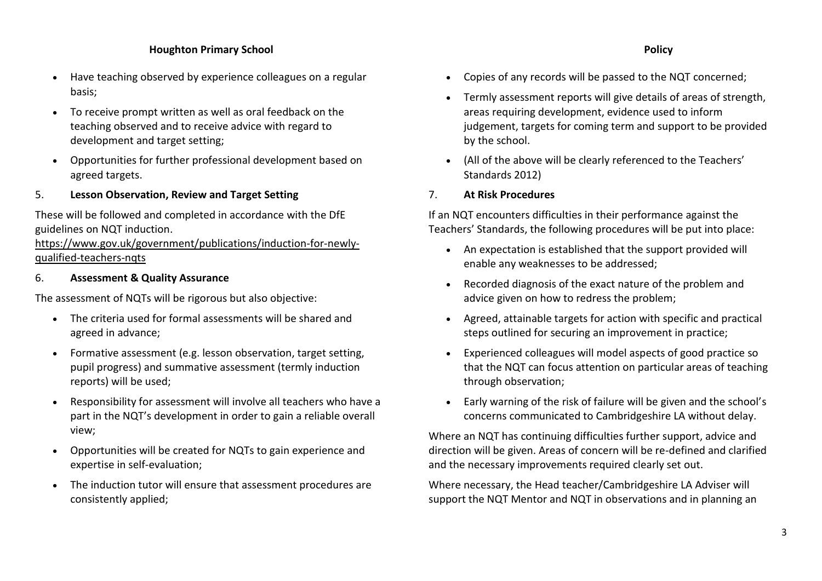### **Houghton Primary School Policy**

- Have teaching observed by experience colleagues on a regular basis;
- To receive prompt written as well as oral feedback on the teaching observed and to receive advice with regard to development and target setting;
- Opportunities for further professional development based on agreed targets.

### 5. **Lesson Observation, Review and Target Setting**

These will be followed and completed in accordance with the DfE guidelines on NQT induction.

[https://www.gov.uk/government/publications/induction-for-newly](https://www.gov.uk/government/publications/induction-for-newly-qualified-teachers-nqts)[qualified-teachers-nqts](https://www.gov.uk/government/publications/induction-for-newly-qualified-teachers-nqts)

### 6. **Assessment & Quality Assurance**

The assessment of NQTs will be rigorous but also objective:

- The criteria used for formal assessments will be shared and agreed in advance;
- Formative assessment (e.g. lesson observation, target setting, pupil progress) and summative assessment (termly induction reports) will be used;
- Responsibility for assessment will involve all teachers who have a part in the NQT's development in order to gain a reliable overall view;
- Opportunities will be created for NQTs to gain experience and expertise in self-evaluation;
- The induction tutor will ensure that assessment procedures are consistently applied;
- 
- Copies of any records will be passed to the NQT concerned;
- Termly assessment reports will give details of areas of strength, areas requiring development, evidence used to inform judgement, targets for coming term and support to be provided by the school.
- (All of the above will be clearly referenced to the Teachers' Standards 2012)
- 7. **At Risk Procedures**

If an NQT encounters difficulties in their performance against the Teachers' Standards, the following procedures will be put into place:

- An expectation is established that the support provided will enable any weaknesses to be addressed;
- Recorded diagnosis of the exact nature of the problem and advice given on how to redress the problem;
- Agreed, attainable targets for action with specific and practical steps outlined for securing an improvement in practice;
- Experienced colleagues will model aspects of good practice so that the NQT can focus attention on particular areas of teaching through observation;
- Early warning of the risk of failure will be given and the school's concerns communicated to Cambridgeshire LA without delay.

Where an NQT has continuing difficulties further support, advice and direction will be given. Areas of concern will be re-defined and clarified and the necessary improvements required clearly set out.

Where necessary, the Head teacher/Cambridgeshire LA Adviser will support the NQT Mentor and NQT in observations and in planning an